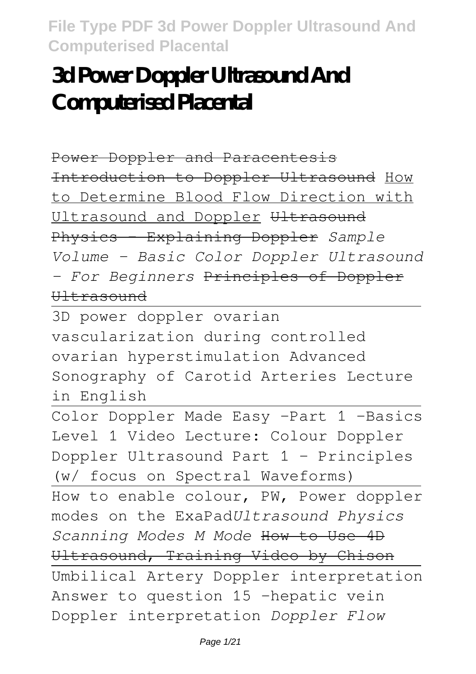# **3d Power Doppler Ultrasound And Computerised Placental**

Power Doppler and Paracentesis Introduction to Doppler Ultrasound How to Determine Blood Flow Direction with Ultrasound and Doppler Ultrasound Physics - Explaining Doppler *Sample Volume - Basic Color Doppler Ultrasound - For Beginners* Principles of Doppler Ultrasound

3D power doppler ovarian vascularization during controlled ovarian hyperstimulation Advanced Sonography of Carotid Arteries Lecture in English

Color Doppler Made Easy -Part 1 -Basics Level 1 Video Lecture: Colour Doppler Doppler Ultrasound Part 1 - Principles (w/ focus on Spectral Waveforms) How to enable colour, PW, Power doppler modes on the ExaPad*Ultrasound Physics Scanning Modes M Mode* How to Use 4D Ultrasound, Training Video by Chison Umbilical Artery Doppler interpretation Answer to question 15 -hepatic vein Doppler interpretation *Doppler Flow*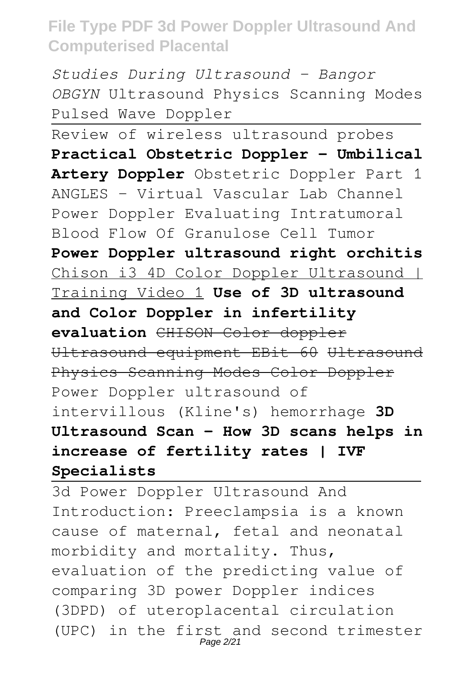*Studies During Ultrasound - Bangor OBGYN* Ultrasound Physics Scanning Modes Pulsed Wave Doppler

Review of wireless ultrasound probes **Practical Obstetric Doppler - Umbilical Artery Doppler** Obstetric Doppler Part 1 ANGLES - Virtual Vascular Lab Channel Power Doppler Evaluating Intratumoral Blood Flow Of Granulose Cell Tumor **Power Doppler ultrasound right orchitis** Chison i3 4D Color Doppler Ultrasound | Training Video 1 **Use of 3D ultrasound and Color Doppler in infertility evaluation** CHISON Color doppler Ultrasound equipment EBit 60 Ultrasound Physics Scanning Modes Color Doppler Power Doppler ultrasound of

intervillous (Kline's) hemorrhage **3D Ultrasound Scan - How 3D scans helps in increase of fertility rates | IVF Specialists**

3d Power Doppler Ultrasound And Introduction: Preeclampsia is a known cause of maternal, fetal and neonatal morbidity and mortality. Thus, evaluation of the predicting value of comparing 3D power Doppler indices (3DPD) of uteroplacental circulation (UPC) in the first and second trimester Page 2/21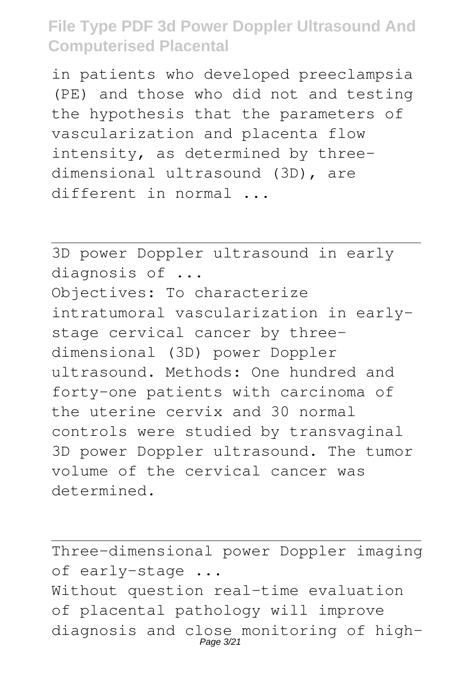in patients who developed preeclampsia (PE) and those who did not and testing the hypothesis that the parameters of vascularization and placenta flow intensity, as determined by threedimensional ultrasound (3D), are different in normal ...

3D power Doppler ultrasound in early diagnosis of ... Objectives: To characterize intratumoral vascularization in earlystage cervical cancer by threedimensional (3D) power Doppler ultrasound. Methods: One hundred and forty-one patients with carcinoma of the uterine cervix and 30 normal controls were studied by transvaginal 3D power Doppler ultrasound. The tumor volume of the cervical cancer was determined.

Three-dimensional power Doppler imaging of early-stage ... Without question real-time evaluation of placental pathology will improve diagnosis and close monitoring of high-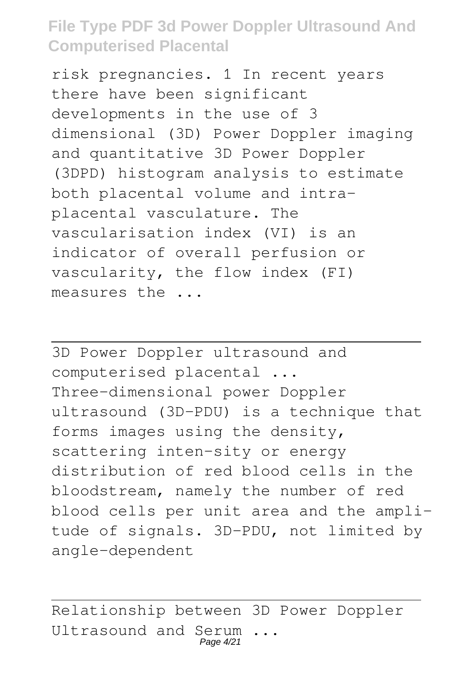risk pregnancies. 1 In recent years there have been significant developments in the use of 3 dimensional (3D) Power Doppler imaging and quantitative 3D Power Doppler (3DPD) histogram analysis to estimate both placental volume and intraplacental vasculature. The vascularisation index (VI) is an indicator of overall perfusion or vascularity, the flow index (FI) measures the ...

3D Power Doppler ultrasound and computerised placental ... Three-dimensional power Doppler ultrasound (3D-PDU) is a technique that forms images using the density, scattering inten-sity or energy distribution of red blood cells in the bloodstream, namely the number of red blood cells per unit area and the amplitude of signals. 3D-PDU, not limited by angle-dependent

Relationship between 3D Power Doppler Ultrasound and Serum ... Page 4/21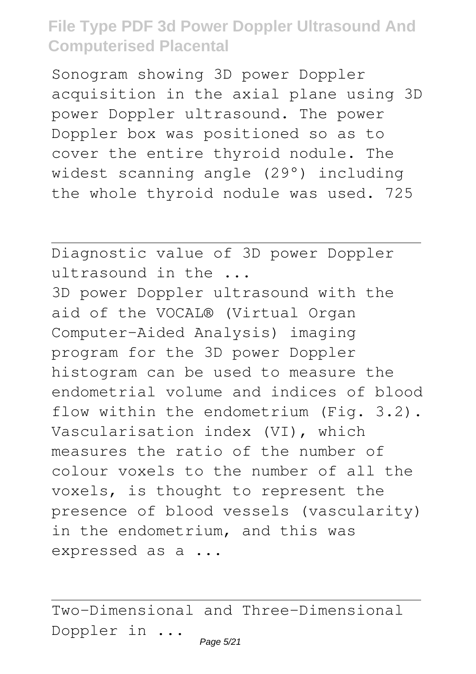Sonogram showing 3D power Doppler acquisition in the axial plane using 3D power Doppler ultrasound. The power Doppler box was positioned so as to cover the entire thyroid nodule. The widest scanning angle (29°) including the whole thyroid nodule was used. 725

Diagnostic value of 3D power Doppler ultrasound in the ... 3D power Doppler ultrasound with the aid of the VOCAL® (Virtual Organ Computer-Aided Analysis) imaging program for the 3D power Doppler histogram can be used to measure the endometrial volume and indices of blood flow within the endometrium (Fig. 3.2). Vascularisation index (VI), which measures the ratio of the number of colour voxels to the number of all the voxels, is thought to represent the presence of blood vessels (vascularity) in the endometrium, and this was expressed as a ...

Two-Dimensional and Three-Dimensional Doppler in ...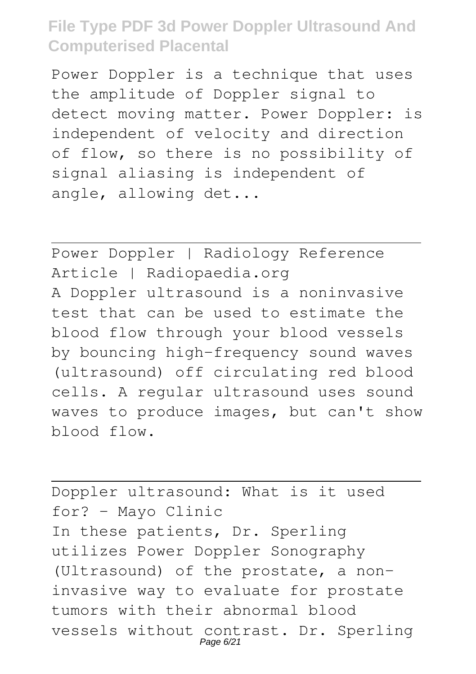Power Doppler is a technique that uses the amplitude of Doppler signal to detect moving matter. Power Doppler: is independent of velocity and direction of flow, so there is no possibility of signal aliasing is independent of angle, allowing det...

Power Doppler | Radiology Reference Article | Radiopaedia.org A Doppler ultrasound is a noninvasive test that can be used to estimate the blood flow through your blood vessels by bouncing high-frequency sound waves (ultrasound) off circulating red blood cells. A regular ultrasound uses sound waves to produce images, but can't show blood flow.

Doppler ultrasound: What is it used for? - Mayo Clinic In these patients, Dr. Sperling utilizes Power Doppler Sonography (Ultrasound) of the prostate, a noninvasive way to evaluate for prostate tumors with their abnormal blood vessels without contrast. Dr. Sperling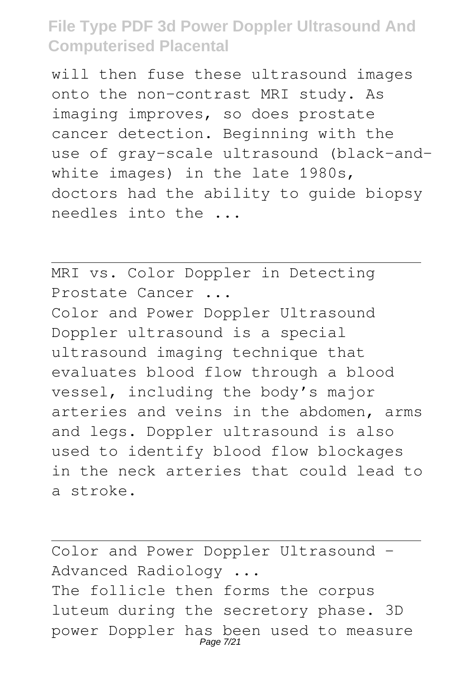will then fuse these ultrasound images onto the non-contrast MRI study. As imaging improves, so does prostate cancer detection. Beginning with the use of gray-scale ultrasound (black-andwhite images) in the late 1980s, doctors had the ability to guide biopsy needles into the ...

MRI vs. Color Doppler in Detecting Prostate Cancer ... Color and Power Doppler Ultrasound

Doppler ultrasound is a special ultrasound imaging technique that evaluates blood flow through a blood vessel, including the body's major arteries and veins in the abdomen, arms and legs. Doppler ultrasound is also used to identify blood flow blockages in the neck arteries that could lead to a stroke.

Color and Power Doppler Ultrasound - Advanced Radiology ... The follicle then forms the corpus luteum during the secretory phase. 3D power Doppler has been used to measure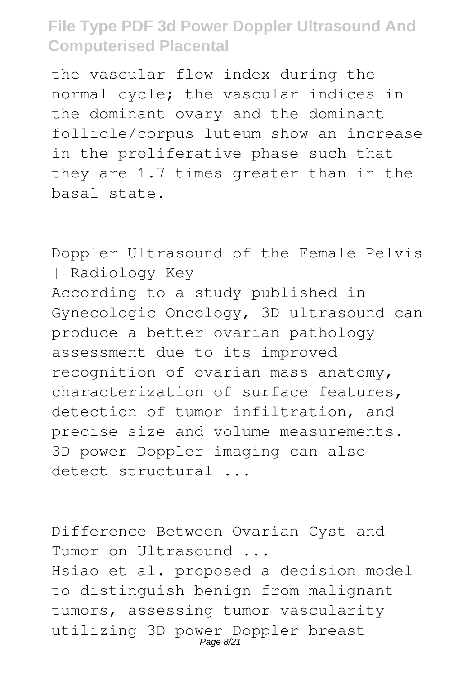the vascular flow index during the normal cycle; the vascular indices in the dominant ovary and the dominant follicle/corpus luteum show an increase in the proliferative phase such that they are 1.7 times greater than in the basal state.

Doppler Ultrasound of the Female Pelvis | Radiology Key According to a study published in Gynecologic Oncology, 3D ultrasound can produce a better ovarian pathology assessment due to its improved recognition of ovarian mass anatomy, characterization of surface features, detection of tumor infiltration, and precise size and volume measurements. 3D power Doppler imaging can also detect structural ...

Difference Between Ovarian Cyst and Tumor on Ultrasound ... Hsiao et al. proposed a decision model to distinguish benign from malignant tumors, assessing tumor vascularity utilizing 3D power Doppler breast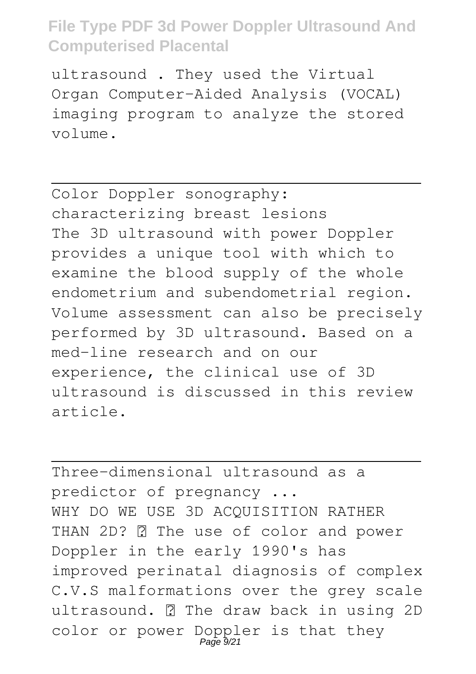ultrasound . They used the Virtual Organ Computer-Aided Analysis (VOCAL) imaging program to analyze the stored volume.

Color Doppler sonography: characterizing breast lesions The 3D ultrasound with power Doppler provides a unique tool with which to examine the blood supply of the whole endometrium and subendometrial region. Volume assessment can also be precisely performed by 3D ultrasound. Based on a med-line research and on our experience, the clinical use of 3D ultrasound is discussed in this review article.

Three-dimensional ultrasound as a predictor of pregnancy ... WHY DO WE USE 3D ACQUISITION RATHER THAN 2D? **7** The use of color and power Doppler in the early 1990's has improved perinatal diagnosis of complex C.V.S malformations over the grey scale ultrasound. **7** The draw back in using 2D color or power Doppler is that they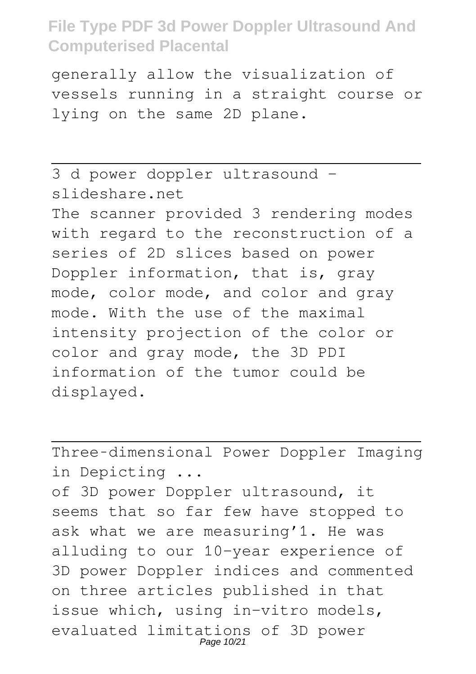generally allow the visualization of vessels running in a straight course or lying on the same 2D plane.

3 d power doppler ultrasound slideshare.net The scanner provided 3 rendering modes with regard to the reconstruction of a series of 2D slices based on power Doppler information, that is, gray mode, color mode, and color and gray mode. With the use of the maximal intensity projection of the color or color and gray mode, the 3D PDI information of the tumor could be displayed.

Three‐dimensional Power Doppler Imaging in Depicting ... of 3D power Doppler ultrasound, it seems that so far few have stopped to ask what we are measuring'1. He was alluding to our 10-year experience of 3D power Doppler indices and commented on three articles published in that issue which, using in-vitro models, evaluated limitations of 3D power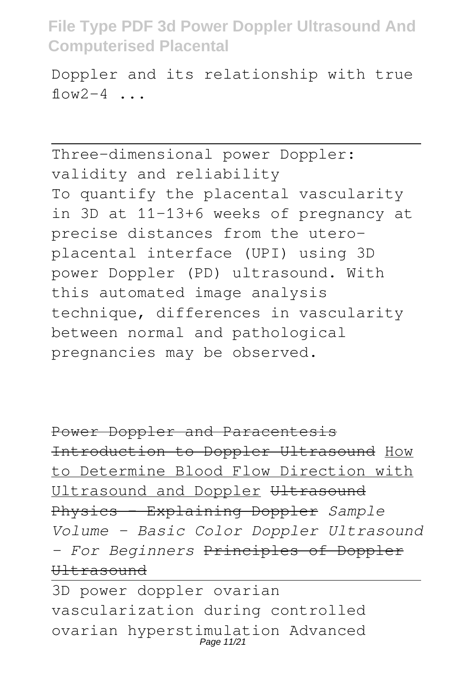Doppler and its relationship with true  $flow2-4$  ...

Three-dimensional power Doppler: validity and reliability To quantify the placental vascularity in 3D at 11–13+6 weeks of pregnancy at precise distances from the uteroplacental interface (UPI) using 3D power Doppler (PD) ultrasound. With this automated image analysis technique, differences in vascularity between normal and pathological pregnancies may be observed.

Power Doppler and Paracentesis Introduction to Doppler Ultrasound How to Determine Blood Flow Direction with Ultrasound and Doppler Ultrasound Physics - Explaining Doppler *Sample Volume - Basic Color Doppler Ultrasound - For Beginners* Principles of Doppler  $H1 + ra$ sound

3D power doppler ovarian vascularization during controlled ovarian hyperstimulation Advanced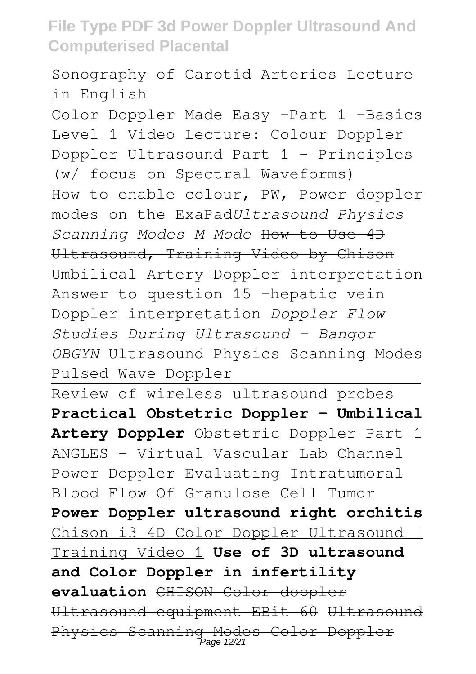Sonography of Carotid Arteries Lecture in English

Color Doppler Made Easy -Part 1 -Basics Level 1 Video Lecture: Colour Doppler Doppler Ultrasound Part 1 - Principles (w/ focus on Spectral Waveforms) How to enable colour, PW, Power doppler modes on the ExaPad*Ultrasound Physics Scanning Modes M Mode* How to Use 4D Ultrasound, Training Video by Chison Umbilical Artery Doppler interpretation Answer to question 15 -hepatic vein Doppler interpretation *Doppler Flow Studies During Ultrasound - Bangor OBGYN* Ultrasound Physics Scanning Modes

Pulsed Wave Doppler

Review of wireless ultrasound probes **Practical Obstetric Doppler - Umbilical Artery Doppler** Obstetric Doppler Part 1 ANGLES - Virtual Vascular Lab Channel Power Doppler Evaluating Intratumoral Blood Flow Of Granulose Cell Tumor **Power Doppler ultrasound right orchitis** Chison i3 4D Color Doppler Ultrasound | Training Video 1 **Use of 3D ultrasound and Color Doppler in infertility evaluation** CHISON Color doppler Ultrasound equipment EBit 60 Ultrasound Physics Scanning Modes Color Doppler Page 12/21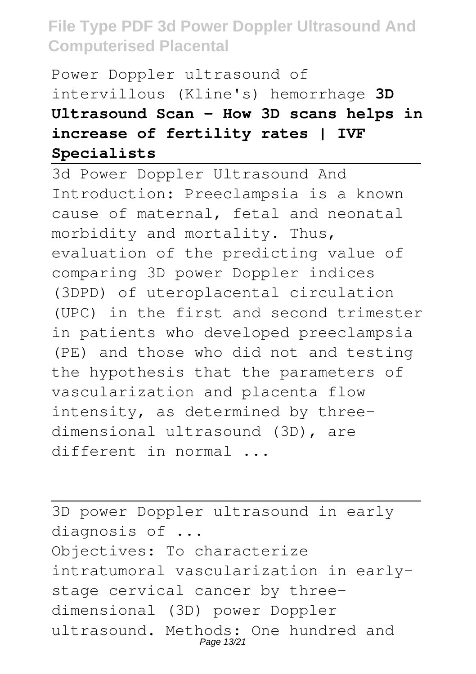Power Doppler ultrasound of intervillous (Kline's) hemorrhage **3D Ultrasound Scan - How 3D scans helps in increase of fertility rates | IVF Specialists**

3d Power Doppler Ultrasound And Introduction: Preeclampsia is a known cause of maternal, fetal and neonatal morbidity and mortality. Thus, evaluation of the predicting value of comparing 3D power Doppler indices (3DPD) of uteroplacental circulation (UPC) in the first and second trimester in patients who developed preeclampsia (PE) and those who did not and testing the hypothesis that the parameters of vascularization and placenta flow intensity, as determined by threedimensional ultrasound (3D), are different in normal ...

3D power Doppler ultrasound in early diagnosis of ... Objectives: To characterize intratumoral vascularization in earlystage cervical cancer by threedimensional (3D) power Doppler ultrasound. Methods: One hundred and Page 13/21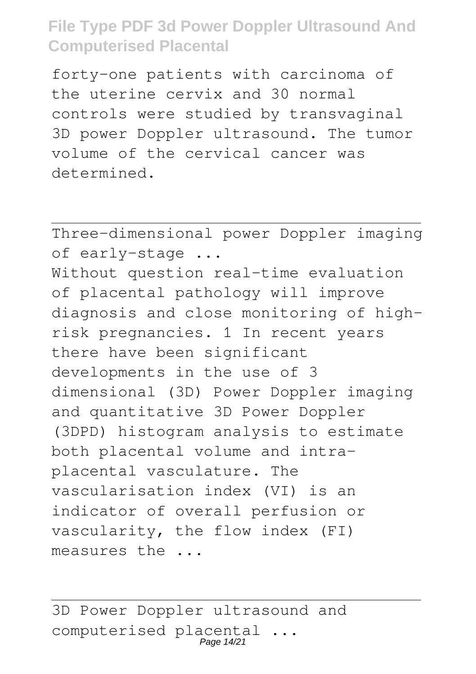forty-one patients with carcinoma of the uterine cervix and 30 normal controls were studied by transvaginal 3D power Doppler ultrasound. The tumor volume of the cervical cancer was determined.

Three-dimensional power Doppler imaging of early-stage ... Without question real-time evaluation of placental pathology will improve diagnosis and close monitoring of highrisk pregnancies. 1 In recent years there have been significant developments in the use of 3 dimensional (3D) Power Doppler imaging and quantitative 3D Power Doppler (3DPD) histogram analysis to estimate both placental volume and intraplacental vasculature. The vascularisation index (VI) is an indicator of overall perfusion or vascularity, the flow index (FI) measures the ...

3D Power Doppler ultrasound and computerised placental ...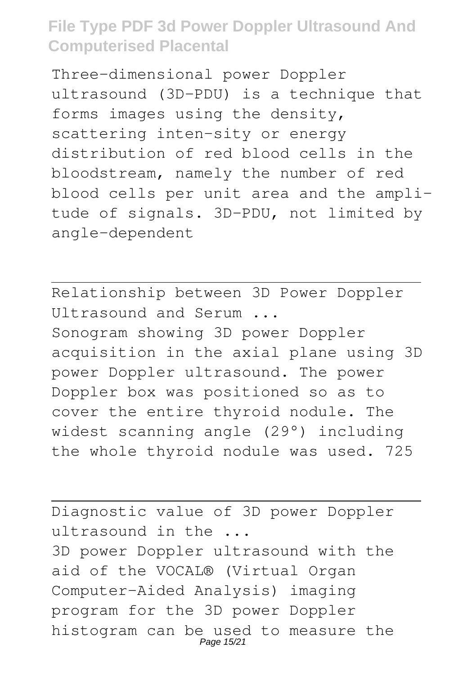Three-dimensional power Doppler ultrasound (3D-PDU) is a technique that forms images using the density, scattering inten-sity or energy distribution of red blood cells in the bloodstream, namely the number of red blood cells per unit area and the amplitude of signals. 3D-PDU, not limited by angle-dependent

Relationship between 3D Power Doppler Ultrasound and Serum ... Sonogram showing 3D power Doppler acquisition in the axial plane using 3D power Doppler ultrasound. The power Doppler box was positioned so as to cover the entire thyroid nodule. The widest scanning angle (29°) including the whole thyroid nodule was used. 725

Diagnostic value of 3D power Doppler ultrasound in the ... 3D power Doppler ultrasound with the aid of the VOCAL® (Virtual Organ Computer-Aided Analysis) imaging program for the 3D power Doppler histogram can be used to measure the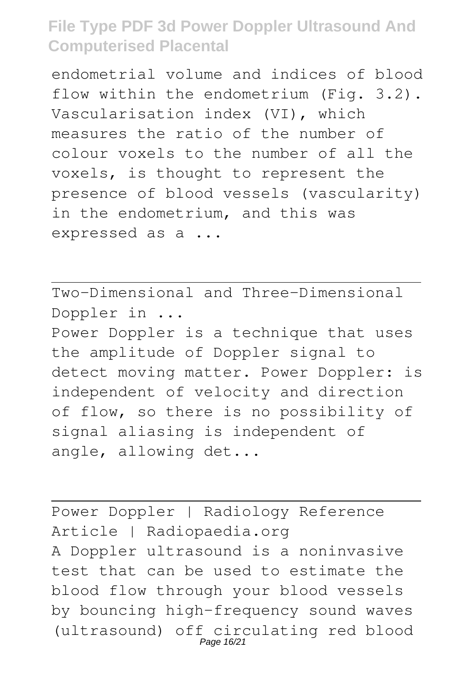endometrial volume and indices of blood flow within the endometrium (Fig. 3.2). Vascularisation index (VI), which measures the ratio of the number of colour voxels to the number of all the voxels, is thought to represent the presence of blood vessels (vascularity) in the endometrium, and this was expressed as a ...

Two-Dimensional and Three-Dimensional Doppler in ... Power Doppler is a technique that uses the amplitude of Doppler signal to detect moving matter. Power Doppler: is independent of velocity and direction of flow, so there is no possibility of signal aliasing is independent of angle, allowing det...

Power Doppler | Radiology Reference Article | Radiopaedia.org A Doppler ultrasound is a noninvasive test that can be used to estimate the blood flow through your blood vessels by bouncing high-frequency sound waves (ultrasound) off circulating red blood<br>Page 16/21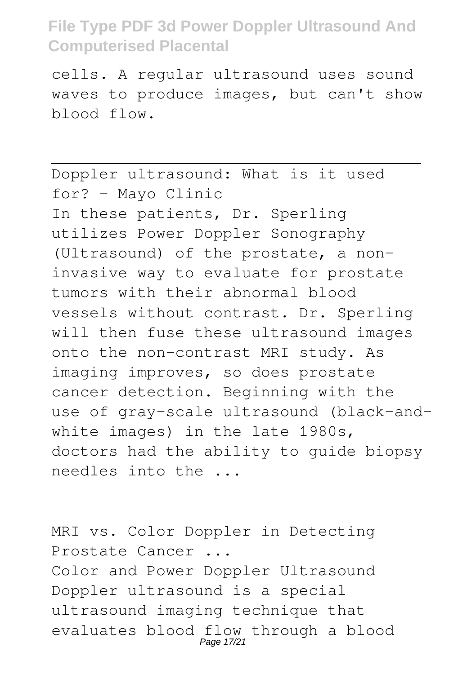cells. A regular ultrasound uses sound waves to produce images, but can't show blood flow.

Doppler ultrasound: What is it used for? - Mayo Clinic In these patients, Dr. Sperling utilizes Power Doppler Sonography (Ultrasound) of the prostate, a noninvasive way to evaluate for prostate tumors with their abnormal blood vessels without contrast. Dr. Sperling will then fuse these ultrasound images onto the non-contrast MRI study. As imaging improves, so does prostate cancer detection. Beginning with the use of gray-scale ultrasound (black-andwhite images) in the late 1980s, doctors had the ability to guide biopsy needles into the ...

MRI vs. Color Doppler in Detecting Prostate Cancer ... Color and Power Doppler Ultrasound Doppler ultrasound is a special ultrasound imaging technique that evaluates blood flow through a blood<br>Page 17/21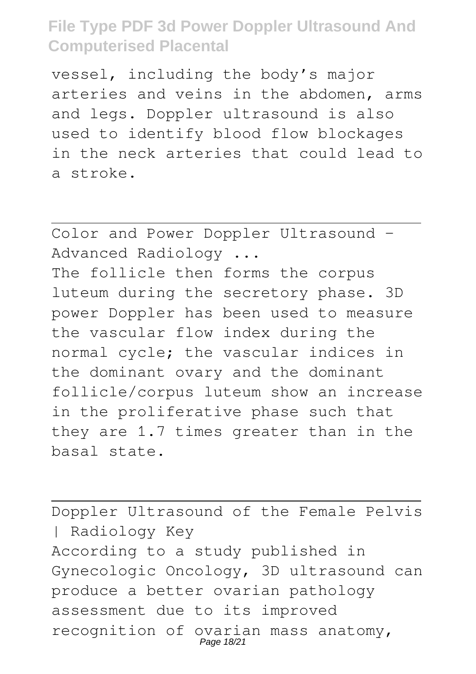vessel, including the body's major arteries and veins in the abdomen, arms and legs. Doppler ultrasound is also used to identify blood flow blockages in the neck arteries that could lead to a stroke.

Color and Power Doppler Ultrasound - Advanced Radiology ... The follicle then forms the corpus luteum during the secretory phase. 3D power Doppler has been used to measure the vascular flow index during the normal cycle; the vascular indices in the dominant ovary and the dominant follicle/corpus luteum show an increase in the proliferative phase such that they are 1.7 times greater than in the basal state.

Doppler Ultrasound of the Female Pelvis | Radiology Key According to a study published in Gynecologic Oncology, 3D ultrasound can produce a better ovarian pathology assessment due to its improved recognition of ovarian mass anatomy,<br>Page 18/21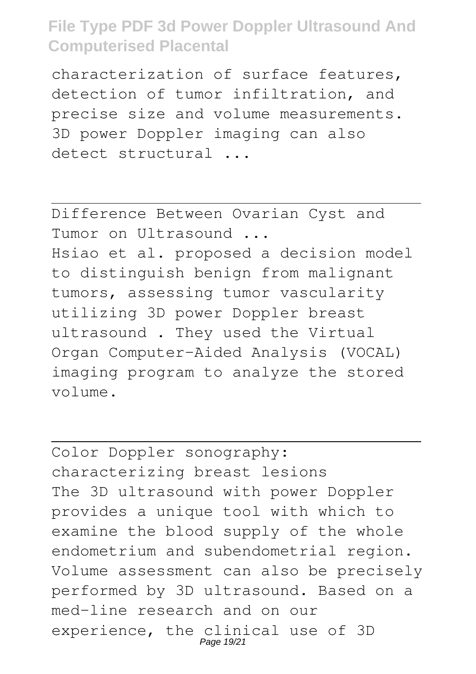characterization of surface features, detection of tumor infiltration, and precise size and volume measurements. 3D power Doppler imaging can also detect structural ...

Difference Between Ovarian Cyst and Tumor on Ultrasound ... Hsiao et al. proposed a decision model to distinguish benign from malignant tumors, assessing tumor vascularity utilizing 3D power Doppler breast ultrasound . They used the Virtual Organ Computer-Aided Analysis (VOCAL) imaging program to analyze the stored volume.

Color Doppler sonography: characterizing breast lesions The 3D ultrasound with power Doppler provides a unique tool with which to examine the blood supply of the whole endometrium and subendometrial region. Volume assessment can also be precisely performed by 3D ultrasound. Based on a med-line research and on our experience, the clinical use of 3D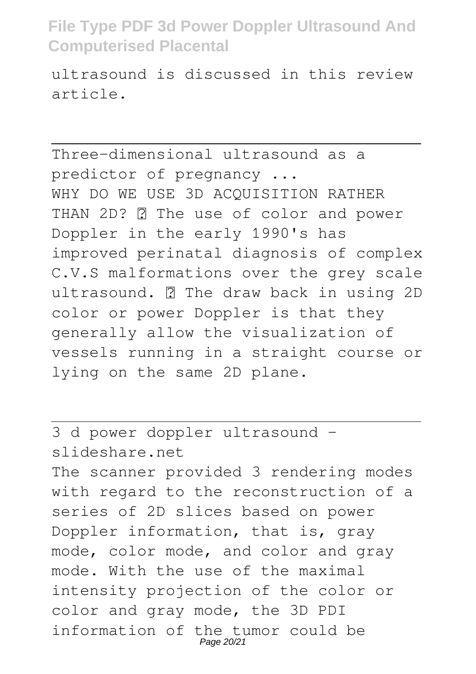ultrasound is discussed in this review article.

Three-dimensional ultrasound as a predictor of pregnancy ... WHY DO WE USE 3D ACOUISITION RATHER THAN 2D? **R** The use of color and power Doppler in the early 1990's has improved perinatal diagnosis of complex C.V.S malformations over the grey scale ultrasound. **7** The draw back in using 2D color or power Doppler is that they generally allow the visualization of vessels running in a straight course or lying on the same 2D plane.

3 d power doppler ultrasound slideshare.net The scanner provided 3 rendering modes with regard to the reconstruction of a series of 2D slices based on power Doppler information, that is, gray mode, color mode, and color and gray mode. With the use of the maximal intensity projection of the color or color and gray mode, the 3D PDI information of the tumor could be Page 20/21